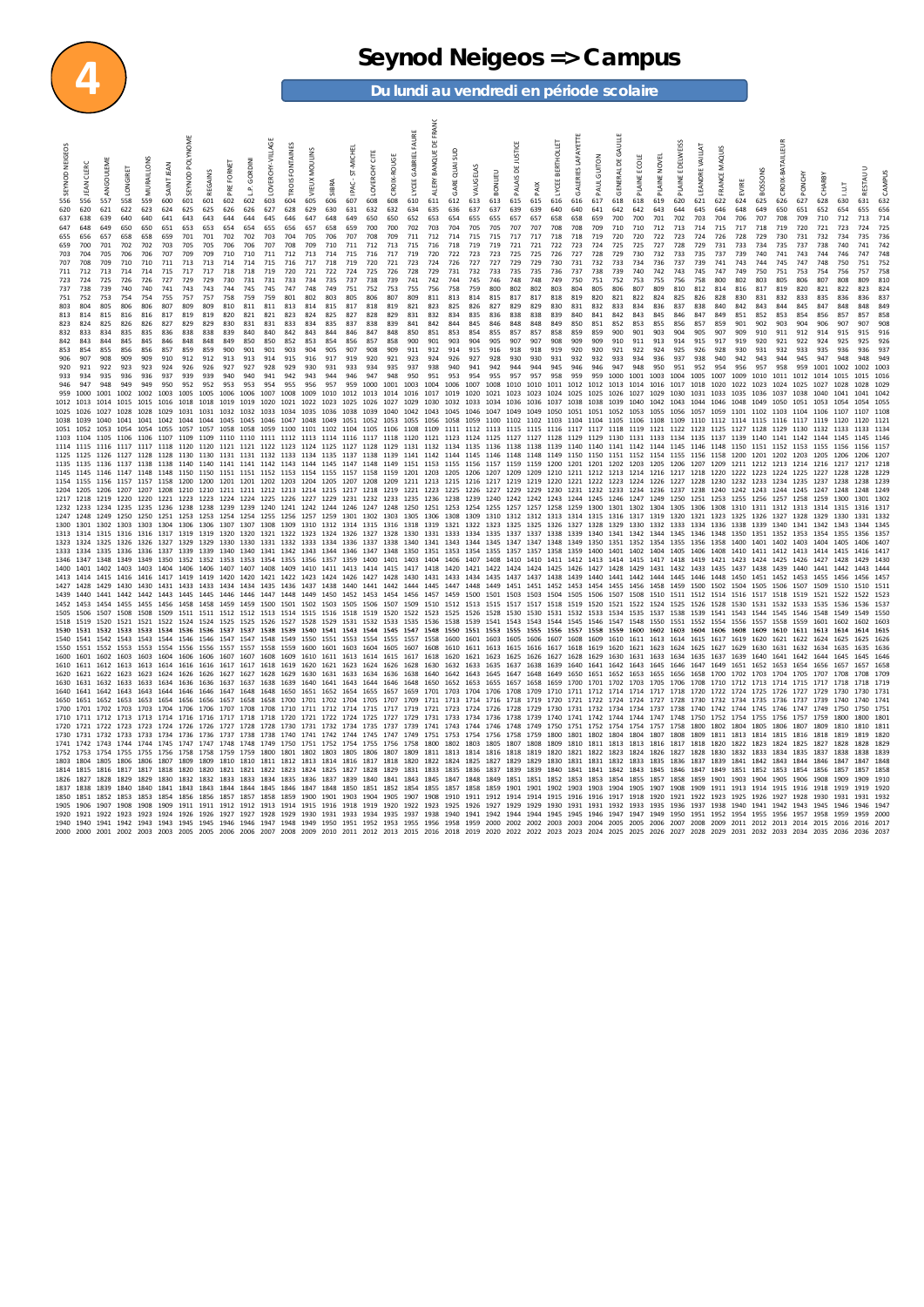

### **4 Seynod Neigeos => Campus**

**Du lundi au vendredi en période scolaire**

| 556<br>620<br>637<br>647<br>655<br>659<br>703<br>707<br>711<br>723<br>737<br>751<br>803<br>813<br>823<br>832<br>842<br>853<br>906 | 556<br>620<br>638<br>648<br>656<br>700<br>704<br>708<br>712<br>724<br>738<br>752<br>804<br>814<br>824<br>833<br>843<br>854<br>907 | 557<br>621<br>639<br>649<br>657<br>701<br>705<br>709<br>713<br>725<br>739<br>753<br>805<br>815<br>825<br>834<br>844<br>855<br>908 | LONGIRET<br>558<br>622<br>640<br>650<br>658<br>702<br>706<br>710<br>714<br>726<br>740<br>754<br>806<br>816<br>826<br>835<br>845<br>856<br>909 | MURAILLONS<br>559<br>623<br>640<br>650<br>658<br>702<br>706<br>710<br>714<br>726<br>740<br>754<br>806<br>816<br>826<br>835<br>845<br>856<br>909 | SAINT JEAN<br>600<br>624<br>641<br>651<br>659<br>703<br>707<br>711<br>715<br>727<br>741<br>755<br>807<br>817<br>827<br>836<br>846<br>857<br>910 | SEYNOD<br>601<br>625<br>643<br>653<br>701<br>705<br>709<br>713<br>717<br>729<br>743<br>757<br>809<br>819<br>829<br>838<br>848<br>859<br>912                                                                   | REGAINS<br>601<br>625<br>643<br>653<br>701<br>705<br>709<br>713<br>717<br>729<br>743<br>757<br>809<br>819<br>829<br>838<br>848<br>859<br>912 | PRE FORNET<br>602<br>626<br>644<br>654<br>702<br>706<br>710<br>714<br>718<br>730<br>744<br>758<br>810<br>820<br>830<br>839<br>849<br>900<br>913 | GORDINI<br>٩<br>602<br>626<br>644<br>654<br>702<br>706<br>710<br>714<br>718<br>731<br>745<br>759<br>811<br>821<br>831<br>840<br>850<br>901<br>913 | LOVERCHY-VILLAGE<br>603<br>627<br>645<br>655<br>703<br>707<br>711<br>715<br>719<br>731<br>745<br>759<br>811<br>821<br>831<br>840<br>850<br>901<br>914 | FONTAINES<br>TROIS<br>604<br>628<br>646<br>656<br>704<br>708<br>712<br>716<br>720<br>733<br>747<br>801<br>813<br>823<br>833<br>842<br>852<br>903<br>915 | MOULINS<br>VIEUX<br>605<br>629<br>647<br>657<br>705<br>709<br>713<br>717<br>721<br>734<br>748<br>802<br>814<br>824<br>834<br>843<br>853<br>904<br>916 | SIBRA<br>606<br>630<br>648<br>658<br>706<br>710<br>714<br>718<br>722<br>735<br>749<br>803<br>815<br>825<br>835<br>844<br>854<br>905<br>917 | ST-MICHEL<br>IPAC-<br>607<br>631<br>649<br>659<br>707<br>711<br>715<br>719<br>724<br>737<br>751<br>805<br>817<br>827<br>837<br>846<br>856<br>907<br>919 | LOVE RCHY CITE<br>608<br>632<br>650<br>700<br>708<br>712<br>716<br>720<br>725<br>738<br>752<br>806<br>818<br>828<br>838<br>847<br>857<br>908<br>920 | CROIX-ROUGE<br>608<br>632<br>650<br>700<br>709<br>713<br>717<br>721<br>726<br>739<br>753<br>807<br>819<br>829<br>839<br>848<br>858<br>909<br>921 | <b>GABRIEL FAURE</b><br>610<br>634<br>652<br>702<br>711<br>715<br>719<br>723<br>728<br>741<br>755<br>809<br>821<br>831<br>841<br>850<br>900<br>911<br>923 | ă<br>BANQUE<br>ALERY<br>611<br>635<br>653<br>703<br>712<br>716<br>720<br>724<br>729<br>742<br>756<br>811<br>823<br>832<br>842<br>851<br>901<br>912<br>924                                                                                                                                                                                                                                                                                                                                                                                                                                                                                                                                                                                                                                                                                                                                                                                                                                                                                                                                                                                                                                                                                                                                                                                                            | GARE QUAI SUD<br>612<br>636<br>654<br>704<br>714<br>718<br>722<br>726<br>731<br>744<br>758<br>813<br>825<br>834<br>844<br>853<br>903<br>914<br>926 | VAUGELAS<br>613<br>637<br>655<br>705<br>715<br>719<br>723<br>727<br>732<br>745<br>759<br>814<br>826<br>835<br>845<br>854<br>904<br>915<br>927 | BONLIEU<br>613<br>637<br>655<br>705<br>715<br>719<br>723<br>727<br>733<br>746<br>800<br>815<br>827<br>836<br>846<br>855<br>905<br>916<br>928 | PALAIS DE JUSTICE<br>615<br>639<br>657<br>707<br>717<br>721<br>725<br>729<br>735<br>748<br>802<br>817<br>829<br>838<br>848<br>857<br>907<br>918<br>930 | <b>XIVd</b><br>615<br>639<br>657<br>707<br>717<br>721<br>725<br>729<br>735<br>748<br>802<br>817<br>829<br>838<br>848<br>857<br>907<br>918<br>930                                                                                                                        | BERTHOLLET<br>LYCEE<br>616<br>640<br>658<br>708<br>718<br>722<br>726<br>730<br>736<br>749<br>803<br>818<br>830<br>839<br>849<br>858<br>908<br>919<br>931 | <b>GALERIES LAFAYETTE</b><br>616<br>640<br>658<br>708<br>718<br>723<br>727<br>731<br>737<br>750<br>804<br>819<br>831<br>840<br>850<br>859<br>909<br>920<br>932 | PAUL GUITON<br>617<br>641<br>659<br>709<br>719<br>724<br>728<br>732<br>738<br>751<br>805<br>820<br>832<br>841<br>851<br>859<br>909<br>920<br>932 | GENERAL DE GAULLE<br>618<br>642<br>700<br>710<br>720<br>725<br>729<br>733<br>739<br>752<br>806<br>821<br>833<br>842<br>852<br>900<br>910<br>921<br>933 | PLAINE ECOLE<br>618<br>642<br>700<br>710<br>720<br>725<br>730<br>734<br>740<br>753<br>807<br>822<br>834<br>843<br>853<br>901<br>911<br>922<br>934 | PLAINE NOVEL<br>619<br>643<br>701<br>712<br>722<br>727<br>732<br>736<br>742<br>755<br>809<br>824<br>836<br>845<br>855<br>903<br>913<br>924<br>936 | PLAINE<br>620<br>644<br>702<br>713<br>723<br>728<br>733<br>737<br>743<br>756<br>810<br>825<br>837<br>846<br>856<br>904<br>914<br>925<br>937 | LEANDRE VAILLAT<br>621<br>645<br>703<br>714<br>724<br>729<br>735<br>739<br>745<br>758<br>812<br>826<br>838<br>847<br>857<br>905<br>915<br>926<br>938 | FRANCE MAQUIS<br>622<br>646<br>704<br>715<br>726<br>731<br>737<br>741<br>747<br>800<br>814<br>828<br>840<br>849<br>859<br>907<br>917<br>928<br>940 | EVIRE<br>624<br>648<br>706<br>717<br>728<br>733<br>739<br>743<br>749<br>802<br>816<br>830<br>842<br>851<br>901<br>909<br>919<br>930<br>942 | <b>BOSSONS</b><br>625<br>649<br>707<br>718<br>729<br>734<br>740<br>744<br>750<br>803<br>817<br>831<br>843<br>852<br>902<br>910<br>920<br>931<br>943 | <b>CROIX-BATAILLEUR</b><br>626<br>650<br>708<br>719<br>730<br>735<br>741<br>745<br>751<br>805<br>819<br>832<br>844<br>853<br>903<br>911<br>921<br>932<br>944 | PONCHY<br>627<br>651<br>709<br>720<br>731<br>737<br>743<br>747<br>753<br>806<br>820<br>833<br>845<br>854<br>904<br>912<br>922<br>933<br>945 | RBY<br>롱<br>628<br>652<br>710<br>721<br>732<br>738<br>744<br>748<br>754<br>807<br>821<br>835<br>847<br>856<br>906<br>914<br>924<br>935<br>947 | 630<br>654<br>712<br>723<br>734<br>740<br>746<br>750<br>756<br>808<br>822<br>836<br>848<br>857<br>907<br>915<br>925<br>936<br>948 | RESTAU U<br>631<br>655<br>713<br>724<br>735<br>741<br>747<br>751<br>757<br>809<br>823<br>836<br>857<br>907<br>915<br>925<br>936<br>948 | CAMPUS<br>632<br>656<br>725<br>736<br>742<br>748<br>758<br>810<br>824<br>83<br>858<br>90s<br>916<br>92f<br>94 <sup>°</sup> |
|-----------------------------------------------------------------------------------------------------------------------------------|-----------------------------------------------------------------------------------------------------------------------------------|-----------------------------------------------------------------------------------------------------------------------------------|-----------------------------------------------------------------------------------------------------------------------------------------------|-------------------------------------------------------------------------------------------------------------------------------------------------|-------------------------------------------------------------------------------------------------------------------------------------------------|---------------------------------------------------------------------------------------------------------------------------------------------------------------------------------------------------------------|----------------------------------------------------------------------------------------------------------------------------------------------|-------------------------------------------------------------------------------------------------------------------------------------------------|---------------------------------------------------------------------------------------------------------------------------------------------------|-------------------------------------------------------------------------------------------------------------------------------------------------------|---------------------------------------------------------------------------------------------------------------------------------------------------------|-------------------------------------------------------------------------------------------------------------------------------------------------------|--------------------------------------------------------------------------------------------------------------------------------------------|---------------------------------------------------------------------------------------------------------------------------------------------------------|-----------------------------------------------------------------------------------------------------------------------------------------------------|--------------------------------------------------------------------------------------------------------------------------------------------------|-----------------------------------------------------------------------------------------------------------------------------------------------------------|----------------------------------------------------------------------------------------------------------------------------------------------------------------------------------------------------------------------------------------------------------------------------------------------------------------------------------------------------------------------------------------------------------------------------------------------------------------------------------------------------------------------------------------------------------------------------------------------------------------------------------------------------------------------------------------------------------------------------------------------------------------------------------------------------------------------------------------------------------------------------------------------------------------------------------------------------------------------------------------------------------------------------------------------------------------------------------------------------------------------------------------------------------------------------------------------------------------------------------------------------------------------------------------------------------------------------------------------------------------------|----------------------------------------------------------------------------------------------------------------------------------------------------|-----------------------------------------------------------------------------------------------------------------------------------------------|----------------------------------------------------------------------------------------------------------------------------------------------|--------------------------------------------------------------------------------------------------------------------------------------------------------|-------------------------------------------------------------------------------------------------------------------------------------------------------------------------------------------------------------------------------------------------------------------------|----------------------------------------------------------------------------------------------------------------------------------------------------------|----------------------------------------------------------------------------------------------------------------------------------------------------------------|--------------------------------------------------------------------------------------------------------------------------------------------------|--------------------------------------------------------------------------------------------------------------------------------------------------------|---------------------------------------------------------------------------------------------------------------------------------------------------|---------------------------------------------------------------------------------------------------------------------------------------------------|---------------------------------------------------------------------------------------------------------------------------------------------|------------------------------------------------------------------------------------------------------------------------------------------------------|----------------------------------------------------------------------------------------------------------------------------------------------------|--------------------------------------------------------------------------------------------------------------------------------------------|-----------------------------------------------------------------------------------------------------------------------------------------------------|--------------------------------------------------------------------------------------------------------------------------------------------------------------|---------------------------------------------------------------------------------------------------------------------------------------------|-----------------------------------------------------------------------------------------------------------------------------------------------|-----------------------------------------------------------------------------------------------------------------------------------|----------------------------------------------------------------------------------------------------------------------------------------|----------------------------------------------------------------------------------------------------------------------------|
| 920<br>933<br>946<br>959<br>1012 1013<br>1025<br>1038 1039<br>1051 1052<br>1103<br>1114 1115                                      | 921<br>934<br>947<br>1000<br>1026<br>1104                                                                                         | 922<br>935<br>948<br>1001<br>1014<br>1027<br>1040<br>1053<br>1105<br>1116                                                         | 923<br>936<br>949<br>1002<br>1015<br>1028<br>1041<br>1054<br>1106                                                                             | 923<br>936<br>949<br>1002<br>1015<br>1028<br>1054 1055                                                                                          | 924<br>937<br>950<br>1003<br>1029                                                                                                               | 926<br>939<br>952<br>1005<br>1016 1018 1018<br>1031<br>1057 1057<br>1106 1107 1109 1109                                                                                                                       | 926<br>939<br>952<br>1005<br>1031                                                                                                            | 927<br>940<br>953<br>1006<br>1019<br>1032<br>1058<br>1110                                                                                       | 927<br>940<br>953<br>1006<br>1019<br>1032                                                                                                         | 928<br>941<br>954<br>1007<br>1020<br>1033                                                                                                             | 929<br>942<br>955<br>1008<br>1034                                                                                                                       | 930<br>943<br>956<br>1009<br>1021 1022 1023<br>1035 1036                                                                                              | 931<br>944<br>957<br>1010                                                                                                                  | 933<br>946<br>959<br>1012<br>1025<br>1038                                                                                                               | 934<br>947<br>1000<br>1013<br>1026 1027<br>1039                                                                                                     | 935<br>948<br>1001<br>1014<br>1040                                                                                                               | 937<br>950<br>1003<br>1016                                                                                                                                | 938<br>951<br>1004<br>1017<br>1029 1030 1032 1033 1034 1036 1036 1037 1038 1038<br>1042 1043 1045<br>1041 1042 1044 1044 1045 1045 1046 1047 1048 1049 1051 1052 1053 1055 1056 1058 1059 1100 1102 1102 1102 1104 1104 1104 1105 1106 1108 1109 1110 1112 1114 1115 1116 1117 1119 1120<br>1058 1059 1100 1101 1102 1104 1105 1106 1108 1109 1111 1112 1113 1115 1115 1116 1117 1117 1118 1119 1121 1122 1123 1125 1127 1128 1129 1130 1132 1133<br>1110 1111 1112 1113 1114 1116 1117 1118 1120 1121 1123 1124 1125 1127 1127 1128 1129 1129 1130 1131 1133 1134 1135 1137 1139 1140 1141 1142 1144 1145<br>1117 1117 1118 1120 1121 1121 1121 1122 1123 1124 1125 1127 1128 1129 1131 1132 1134 1135 1136 1138 1138 1139 1140 1140 1141 1142 1144 1145 1146 1148 1150 1151 1152 1153 1155 1156                                                                                                                                                                                                                                                                                                                                                                                                                                                                                                                                                                    | 940<br>953<br>1006<br>1019                                                                                                                         | 941<br>954<br>1007<br>1020<br>1046                                                                                                            | 942<br>955<br>1008<br>1021<br>1047                                                                                                           | 944<br>957<br>1010<br>1023<br>1049                                                                                                                     | 944<br>957<br>1010<br>1023<br>1049                                                                                                                                                                                                                                      | 945<br>958<br>1011<br>1024<br>1050                                                                                                                       | 946<br>959<br>1012<br>1025<br>1051 1051                                                                                                                        | 946<br>959<br>1012<br>1025                                                                                                                       | 947<br>1000<br>1013<br>1026<br>1052 1053 1055                                                                                                          | 948<br>1001 1003<br>1014 1016<br>1027                                                                                                             | 950<br>1029<br>1039 1040 1042 1043 1044 1046 1048                                                                                                 | 951<br>1004<br>1017<br>1030<br>1056 1057                                                                                                    | 952<br>1005<br>1018<br>1031                                                                                                                          | 954<br>1007<br>1020<br>1033<br>1059                                                                                                                | 956<br>1009<br>1022<br>1035                                                                                                                | 957<br>1010<br>1023<br>1036<br>1049 1050 1051 1053<br>1101 1102 1103 1104                                                                           | 958<br>1011<br>1024<br>1037                                                                                                                                  | 959<br>1012<br>1025<br>1038                                                                                                                 | 1001<br>1014<br>1027<br>1040<br>1106                                                                                                          | 1002<br>1015<br>1028<br>1054<br>1107                                                                                              | 1002<br>1015<br>1028<br>1054<br>1107<br>1120 112<br>1133 113<br>1156 115                                                               | 1011<br>1055<br>110                                                                                                        |
| 1125<br>1204 1205 1206<br>1217 1218<br>1232<br>1247 1248<br>1300<br>1313                                                          |                                                                                                                                   | 1126<br>1219<br>1233 1234<br>1249<br>1302<br>1314 1315                                                                            | 1127<br>1207<br>1220<br>1303                                                                                                                  |                                                                                                                                                 |                                                                                                                                                 | 1128 1128 1130 1130 1131 1131 1132 1133 1134 1135 1137 1138<br>1303 1304 1306 1306 1307<br>1316 1316 1317 1319 1319                                                                                           |                                                                                                                                              | 1320                                                                                                                                            | 1307                                                                                                                                              | 1308                                                                                                                                                  |                                                                                                                                                         |                                                                                                                                                       |                                                                                                                                            |                                                                                                                                                         |                                                                                                                                                     |                                                                                                                                                  |                                                                                                                                                           | 1139 1141 1142 1144 1145 1146 1148 1148 1149 1150 1150 1151 1152 1154 1155 1156 1158<br>1135 1135 1136 1137 1138 1138 1140 1140 1141 1141 1142 1143 1144 1145 1147 1148 1149 1151 1153 1155 1155 1155 1157 1159 1200 1201 1201 1202 1203 1205 1206 1207 1209 1211 1212 1213 1214 1216 1217<br>1145 1145 1146 1147 1148 1148 1150 1151 1151 1151 1153 1154 1155 1157 1158 1159 1201 1203 1205 1206 1207 1209 1209 1210 1211 1212 1213 1214 1216 1217 1218 1220 1222 1223 1224 1225 1227 1228<br>1157 1157 1158 1200 1201 1201 1202 1203 1204 1205 1207 1208 1209 1211 1213 1215 1216 1217 1219 1219 1219 1220 1221 1222 1223 1224 1226 1227 1228 1230 1232 1233 1234 1235 1237<br>1207 1208 1210 1210 1211 1211 1212 1213 1214 1215 1217 1218 1219 1221 1223 1225 1226 1227 1229 1229 1230 1231 1232 1233 1234 1236 1237 1238 1240 1242 1243 1244 1245 1247 1248<br>1220 1221 1223 1223 1224 1224 1225 1226 1227 1229 1231 1232 1233 1235 1236 1238 1239<br>1235 1236 1238 1238 1239 1239 1240 1241 1242 1244 1246 1247 1248 1250 1251 1253 1254 1255 1257 1257 1257 1259 1300 1301 1302 1304 1305 1306 1308 1310 1311 1312 1313 1314 1315<br>1250 1250 1251 1253 1253 1254 1254 1255 1256 1257 1259 1301 1302 1303 1305 1306 1308 1309<br>1309 1310 1312 1314 1315 1316 1318 1319 1321 1322 1323<br>1320 1321 1322 1323 1324 1326 1327 1328 1330 1331 1333 1334 1335 |                                                                                                                                                    |                                                                                                                                               |                                                                                                                                              |                                                                                                                                                        | 1240 1242 1242 1243 1244 1245 1246 1247 1249 1250 1251 1253<br>1310 1312 1312 1313 1314 1315 1316 1317 1319 1320 1321 1323 1325 1326 1327 1328 1329<br>1325 1325 1326 1327 1328 1329 1330 1332 1333 1334 1336<br>1337 1337 1338 1339 1340 1341 1342 1344 1345 1346 1348 |                                                                                                                                                          |                                                                                                                                                                |                                                                                                                                                  |                                                                                                                                                        |                                                                                                                                                   |                                                                                                                                                   |                                                                                                                                             |                                                                                                                                                      |                                                                                                                                                    | 1255 1256<br>1338<br>1350                                                                                                                  | 1200 1201 1202 1203<br>1339<br>1351 1352 1353                                                                                                       | 1257<br>1340                                                                                                                                                 | 1258 1259<br>1341                                                                                                                           | 1205<br>1354                                                                                                                                  | 1206<br>1300<br>1330<br>1355                                                                                                      | 1217 121<br>1228 122<br>1248<br>1301 130<br>1316 131<br>1331 1333<br>1356 135                                                          | 1249                                                                                                                       |
| 1323<br>1333<br>1346 1347 1348<br>1400<br>1427<br>1439 1440 1441<br>1452 1453<br>1505<br>1518                                     | 1324<br>1428<br>1506<br>1519                                                                                                      | 1325<br>1334 1335<br>1401 1402<br>1429<br>1507<br>1520                                                                            | 1326<br>1349 1349 1350<br>1403<br>1413 1414 1415 1416 1416 1417 1419 1419 1420<br>1430<br>1455<br>1508<br>1521 1521 1522                      | 1326<br>1430<br>1508                                                                                                                            | 1327                                                                                                                                            | 1329<br>1336 1336 1337 1339 1339 1340<br>1352 1352 1353<br>1431 1433 1433<br>1455 1456 1458 1458<br>1509 1511 1511<br>1524 1524                                                                               | 1329                                                                                                                                         | 1330<br>1434<br>1459<br>1512                                                                                                                    | 1330<br>1459                                                                                                                                      | 1525 1526 1527                                                                                                                                        |                                                                                                                                                         | 1331 1332 1333 1334 1336<br>1434 1435 1436 1437 1438 1440<br>1500 1501 1502 1503 1505<br>1528 1529                                                    |                                                                                                                                            |                                                                                                                                                         | 1337                                                                                                                                                |                                                                                                                                                  |                                                                                                                                                           | 1338 1340 1341 1343<br>1340 1341 1342 1343 1344 1346 1347 1348 1350 1351 1353 1354 1355 1357 1357 1358 1359 1400 1401 1402 1404 1405 1406 1408 1410 1411 1412 1413 1414 1415<br>1353 1354 1355 1356 1357 1359 1400 1401 1403 1404 1406 1407<br>1403 1404 1406 1407 1407 1408 1409 1410 1411 1413 1414 1415 1417 1418 1420 1421 1422 1424 1424 1425 1426 1427 1428 1427 1428 1429 1431 1432 1433 1435 1437 1438 1439 1440 1441<br>1420 1421 1422 1423 1424 1426 1427 1428 1430 1431 1433 1434 1435 1437 1437 1438 1439 1440 1441 1442 1444 1445 1446 1448 1450 1451 1452 1453 1455 1456<br>1441 1442 1444 1445 1447 1448<br>1442 1443 1445 1445 1446 1446 1447 1448 1449 1450 1452 1453 1454 1456 1457 1459 1500 1501 1503 1503 1504 1505 1506 1507 1508 1510 1511 1512 1514 1516 1517 1518 1519 1521 1522<br>1506 1507 1509 1510 1512 1513<br>1512 1513 1514 1515 1516 1518 1519 1520 1522 1523 1525<br>1531 1532 1533 1535 1536 1538                                                                                                                                                                                                                                                                                                                                                                                                                                |                                                                                                                                                    | 1344<br>1526                                                                                                                                  | 1345<br>1449<br>1515<br>1528                                                                                                                 | 1347 1347<br>1451 1451<br>1530 1530<br>1541 1543 1543                                                                                                  | 1408 1410 1410 1411 1412 1413 1414 1415 1417 1418 1419 1421 1423 1424 1425<br>1517 1517 1518 1519 1520                                                                                                                                                                  | 1348 1349<br>1452 1453 1454<br>1544 1545 1546                                                                                                            |                                                                                                                                                                | 1350                                                                                                                                             | 1351                                                                                                                                                   |                                                                                                                                                   | 1352 1354 1355 1356<br>1455 1456 1458 1459 1500 1502<br>1521 1522 1524 1525 1526<br>1531 1532 1533 1534 1535 1537 1538 1539                       | 1551 1552 1554                                                                                                                              |                                                                                                                                                      | 1358<br>1528<br>1541                                                                                                                               | 1400<br>1504<br>1530<br>1543<br>1556                                                                                                       | 1401 1402<br>1505 1506<br>1531 1532<br>1544                                                                                                         | 1545                                                                                                                                                         | 1403<br>1426 1427<br>1507<br>1533<br>1546                                                                                                   | 1404<br>1509<br>1535<br>1548<br>1601                                                                                                          | 1442<br>1510<br>1549<br>1602                                                                                                      | 1416 141<br>1429<br>1443<br>1456 145<br>1522 152<br>1549 155<br>1602 1603                                                              | 143<br>151                                                                                                                 |
| 1530<br>1540 1541 1542<br>1550 1551 1552<br>1600<br>1620<br>1630 1631<br>1640 1641<br>1650<br>1700                                | 1531<br>1621<br>1651<br>1701                                                                                                      | 1532<br>1601 1602<br>1622<br>1632<br>1642<br>1652<br>1702                                                                         | 1533<br>1623<br>1653                                                                                                                          | 1623<br>1653                                                                                                                                    |                                                                                                                                                 | 1533 1534 1536 1536<br>1553 1553 1554 1556 1556<br>1603 1603 1604 1606 1606<br>1624 1626 1626<br>1633 1633 1634 1636 1636 1637<br>1643 1643 1644 1646 1646<br>1654 1656 1656<br>1703 1703 1704 1706 1706 1707 |                                                                                                                                              | 1525<br>1537<br>1557<br>1627<br>1647<br>1657                                                                                                    | 1537<br>1557<br>1627<br>1658                                                                                                                      | 1538 1539<br>1558 1559<br>1628<br>1648 1648 1650<br>1658                                                                                              | 1629                                                                                                                                                    | 1600 1601 1603<br>1630 1631 1633<br>1651 1652 1654                                                                                                    |                                                                                                                                            |                                                                                                                                                         | 1634 1636 1638                                                                                                                                      |                                                                                                                                                  |                                                                                                                                                           | 1540 1541 1543 1544 1545 1547 1548 1550<br>1543 1543 1544 1546 1546 1547 1547 1548 1549 1550 1551 1553 1554 1555 1557 1558 1600 1601<br>1604 1605 1607 1608 1610 1611 1613 1615 1616 1617 1618 1619<br>1607 1607 1608 1609 1610 1611 1613 1614 1615 1617 1618 1620 1621 1623 1625 1626 1627 1628 1629 1630 1631 1633 1634 1635 1637 1639<br>1610 1611 1612 1613 1614 1616 1616 1616 1617 1617 1618 1619 1620 1621 1623 1624 1626 1632 1633 1635 1637 1638 1639 1640 1641 1642 1643 1645 1646 1647 1649 1651 1652 1653 1654 1656<br>1640 1642<br>1637 1638 1639 1640 1641 1643 1644 1646 1648 1650 1652 1653 1655 1657 1658 1659 1700 1701 1702 1703 1705 1706 1708 1710 1712 1713 1714 1715 1717 1718<br>1655 1657 1659 1701 1703 1704<br>1700 1701 1702 1704 1705 1707 1709 1711 1713 1714 1716 1718 1719 1720 1721 1722 1724 1724 1727 1728 1730 1732<br>1708 1708 1710 1711 1712 1714 1715 1717 1719 1721 1723 1724 1726 1728 1729 1730 1731 1732 1734 1734 1737 1738 1740 1742 1744 1745 1746 1747                                                                                                                                                                                                                                                                                                                                                               |                                                                                                                                                    | 1539<br>1551<br>1643                                                                                                                          | 1553<br>1645                                                                                                                                 | 1647 1648                                                                                                                                              | 1555 1555 1556 1557<br>1603 1605 1606 1607 1608 1609<br>1706 1708 1709 1710 1711 1712 1714 1714 1717 1718 1720 1722                                                                                                                                                     | 1649                                                                                                                                                     |                                                                                                                                                                | 1558                                                                                                                                             | 1547 1548 1550<br>1559                                                                                                                                 |                                                                                                                                                   | 1600 1602 1603 1604<br>1610 1611 1613 1614 1615 1617 1619<br>1620 1621 1623 1624 1625<br>1650 1651 1652 1653 1655 1656 1658                       |                                                                                                                                             |                                                                                                                                                      | 1606<br>1627<br>1700                                                                                                                               | 1608<br>1629<br>1702<br>1734 1735                                                                                                          | 1557 1558<br>1609<br>1620 1621 1622 1624<br>1630<br>1640 1641 1642 1644<br>1703 1704 1705<br>1724 1725 1726                                         | 1631 1632<br>1736                                                                                                                                            | 1559<br>1610 1611 1613<br>1727<br>1737                                                                                                      | 1707<br>1739<br>1749                                                                                                                          | 1614<br>1625<br>1645<br>1657<br>1708<br>1740<br>1750                                                                              | 1614<br>1625 1626<br>1645<br>1657<br>1718 171<br>1730 173<br>1740 174<br>1750 175                                                      | 161<br>1658                                                                                                                |
| 1710<br>1720 1721 1722<br>1730 1731 1732<br>1741 1742 1743<br>1752 1753<br>1803<br>1814 1815<br>1826<br>1837<br>1850              | 1711<br>1804<br>1838<br>1851                                                                                                      | 1754<br>1805<br>1816<br>1839<br>1852                                                                                              | 1712 1713 1713 1714 1716 1716 1717<br>1806<br>1817<br>1840<br>1853                                                                            | 1829<br>1840<br>1853                                                                                                                            | 1830<br>1841<br>1854                                                                                                                            | 1733 1733 1734 1736 1736 1737<br>1755 1755 1756 1758 1758<br>1806 1807 1809 1809<br>1817 1818 1820 1820<br>1832 1832<br>1843 1843<br>1856 1856                                                                |                                                                                                                                              | 1759<br>1810<br>1821<br>1833<br>1844<br>1857                                                                                                    | 1718<br>1759 1800<br>1833<br>1844 1845<br>1857                                                                                                    | 1834<br>1858                                                                                                                                          | 1835<br>1846<br>1859                                                                                                                                    | 1801 1802 1803 1805<br>1821 1822 1823 1824 1825 1827<br>1836 1837<br>1847 1848<br>1900 1901                                                           |                                                                                                                                            | 1839<br>1850<br>1903                                                                                                                                    | 1840<br>1851<br>1904 1905                                                                                                                           | 1841 1843<br>1852                                                                                                                                | 1854<br>1907                                                                                                                                              | 1718 1720 1721 1722 1724 1725 1727 1729 1731 1733 1734 1736 1738 1739 1740 1741 1742 1744 1744 1747 1748 1750<br>1723 1723 1724 1726 1726 1727 1728 1728 1730 1731 1732 1734 1735 1737 1739 1741 1743 1744 1746 1748 1749 1750 1751 1752 1754 1754 1757 1758 1800 1802 1804 1805 1806<br>1738 1738 1740 1741 1742 1744 1745 1747 1749 1751 1753 1754 1756 1758 1759<br>1744 1744 1745 1747 1747 1748 1748 1749 1750 1751 1752 1754 1755 1756 1758 1800 1802 1803 1805 1807 1808 1809 1810 1811 1813 1813 1815 1817 1818 1820 1822 1823 1824 1825 1827<br>1806 1807 1809 1811 1813 1814 1816 1818 1819 1820 1821 1822 1823 1824 1826 1827 1828<br>1810 1811 1812 1813 1814 1816 1817 1818 1820 1822 1824 1825 1827 1829 1829 1830 1831 1831 1832 1833 1835 1836 1837<br>1828 1829 1831 1833 1835 1836<br>1845<br>1855<br>1908                                                                                                                                                                                                                                                                                                                                                                                                                                                                                                                                         | 1847<br>1857<br>1910                                                                                                                               | 1848<br>1858<br>1911                                                                                                                          | 1849<br>1859                                                                                                                                 | 1851 1851<br>1901                                                                                                                                      | 1837 1839 1839 1840 1841 1841 1842 1843 1845 1846 1847<br>1901<br>1912 1914 1914 1915 1916 1916                                                                                                                                                                         | 1852 1853<br>1902 1903                                                                                                                                   |                                                                                                                                                                | 1853<br>1903                                                                                                                                     | 1854<br>1904<br>1917 1918 1920                                                                                                                         | 1855<br>1905                                                                                                                                      | 1800 1801 1802 1804 1804 1807 1808 1809<br>1857<br>1907                                                                                           | 1858<br>1908<br>1921 1922                                                                                                                   | 1859<br>1909                                                                                                                                         | 1752<br>1830<br>1839<br>1849<br>1901<br>1911<br>1923                                                                                               | 1754<br>1832 1833<br>1841<br>1903<br>1913<br>1925                                                                                          | 1755<br>1811 1813 1814 1815<br>1842 1843<br>1851 1852 1853 1854 1856<br>1904<br>1914<br>1926                                                        | 1756<br>1834<br>1905<br>1915<br>1927                                                                                                                         | 1757<br>1807<br>1816 1818<br>1835 1837<br>1844<br>1916<br>1928                                                                              | 1759<br>1809<br>1846<br>1918<br>1930                                                                                                          | 1810<br>1828<br>1838<br>1847<br>1857<br>1919<br>1931                                                                              | 1810<br>1828<br>1838<br>1847<br>1857 1858<br>1919<br>1931                                                                              | 181<br>1839<br>1848<br>1921<br>1933                                                                                        |
| 1905<br>1920 1921                                                                                                                 | 1906                                                                                                                              | 1907                                                                                                                              | 1908                                                                                                                                          |                                                                                                                                                 |                                                                                                                                                 |                                                                                                                                                                                                               |                                                                                                                                              |                                                                                                                                                 |                                                                                                                                                   |                                                                                                                                                       |                                                                                                                                                         |                                                                                                                                                       |                                                                                                                                            |                                                                                                                                                         |                                                                                                                                                     |                                                                                                                                                  |                                                                                                                                                           | 1908 1909 1911 1911 1912 1912 1913 1914 1915 1916 1918 1919 1920 1922 1923 1925 1926 1927 1929 1929 1930 1931 1931 1931 1932 1933 1935 1936 1937 1938<br>1922 1923 1924 1926 1926 1927 1927 1928 1929 1930 1931 1933 1934 1935 1937 1938 1940 1941 1942 1944 1944 1945 1946 1947 1947 1949 1950 1951 1952 1954 1955 1956 1957 1958 1959<br>1940 1940 1941 1942 1943 1943 1945 1945 1946 1946 1947 1948 1949 1950 1951 1952 1953 1955 1956 1958 1959 2000 2002 2002 2003 2003 2003 2004 2005 2006 2007 2008 2009 2011 2012 2013 2014 2015 2016 2016 2016 2016 2016                                                                                                                                                                                                                                                                                                                                                                                                                                                                                                                                                                                                                                                                                                                                                                                                    |                                                                                                                                                    |                                                                                                                                               |                                                                                                                                              |                                                                                                                                                        |                                                                                                                                                                                                                                                                         |                                                                                                                                                          |                                                                                                                                                                |                                                                                                                                                  |                                                                                                                                                        |                                                                                                                                                   |                                                                                                                                                   |                                                                                                                                             |                                                                                                                                                      |                                                                                                                                                    |                                                                                                                                            | 1940 1941 1942 1943 1945                                                                                                                            |                                                                                                                                                              |                                                                                                                                             |                                                                                                                                               | 1946                                                                                                                              | 1946<br>1959 200                                                                                                                       | 194                                                                                                                        |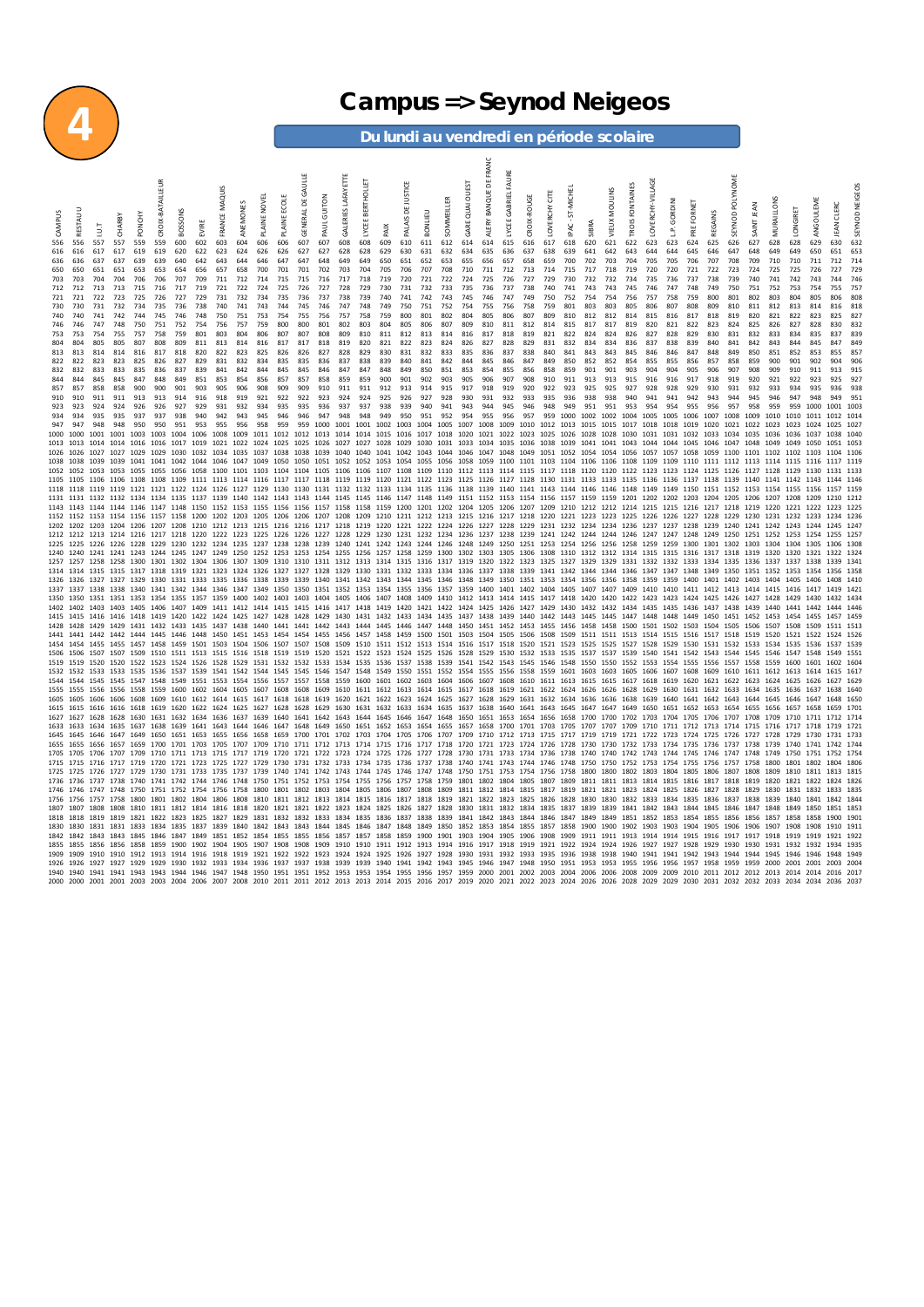

## **62 Campus => Seynod Neigeos**<br> **Du lundi au vendredi en période scolaire**

**Du lundi au vendredi en période scolaire**

|                        |              |                        |                                  |              |                  |            |                                    |                      |                |              |                                            |            |              |                           |                   |            |            |            |                                                                                                                                                                                                                                                                                                                                                                                                     |            | FRA             | FAURE                       |             |                 |                                                                                 |            |               |                        |                 |                                                 |             |             |                   |                  |                                                       |                   |                                  |                        |                |
|------------------------|--------------|------------------------|----------------------------------|--------------|------------------|------------|------------------------------------|----------------------|----------------|--------------|--------------------------------------------|------------|--------------|---------------------------|-------------------|------------|------------|------------|-----------------------------------------------------------------------------------------------------------------------------------------------------------------------------------------------------------------------------------------------------------------------------------------------------------------------------------------------------------------------------------------------------|------------|-----------------|-----------------------------|-------------|-----------------|---------------------------------------------------------------------------------|------------|---------------|------------------------|-----------------|-------------------------------------------------|-------------|-------------|-------------------|------------------|-------------------------------------------------------|-------------------|----------------------------------|------------------------|----------------|
|                        |              |                        |                                  |              | CROIX-BATAILLEUR |            |                                    |                      |                |              |                                            | GAULLE     |              | <b>GALERIES LAFAYETTE</b> | LYCEE BERTHOLLET  |            | у          |            |                                                                                                                                                                                                                                                                                                                                                                                                     | QUAI OUEST | ALERY BANQUE DE |                             |             |                 |                                                                                 |            |               |                        | OVERCHY-VILLAGE |                                                 |             |             | <b>NOME</b>       |                  |                                                       |                   |                                  |                        |                |
|                        |              |                        |                                  |              |                  |            |                                    | <b>FRANCE MAQUIS</b> |                | PLAINE NOVEL | <b>PLAINE ECOLE</b>                        |            |              |                           |                   |            | DE JUST    |            | SOMMEILLER                                                                                                                                                                                                                                                                                                                                                                                          |            |                 | LYCEE GABRIEL               | CROIX-ROUGE | Ğ               | <b>HOW</b> :                                                                    |            | VIEUX MOULINS | <b>TROIS FONTAINES</b> |                 |                                                 |             |             |                   |                  |                                                       |                   |                                  |                        | SEYNOD NEIGEOS |
|                        |              |                        |                                  |              |                  |            |                                    |                      | ANEMONES       |              |                                            | GENERAL DE | PAUL GUITON  |                           |                   |            |            |            |                                                                                                                                                                                                                                                                                                                                                                                                     |            |                 |                             |             | <b>LOVERCHY</b> | 57                                                                              |            |               |                        |                 | GORDINI                                         | FORNET      |             |                   | <b>ANNT JEAN</b> | MURAILLONS                                            | LONGIRET          | ANGOULEME                        | <b>EAN CLERC</b>       |                |
| CAMPUS                 |              |                        | CHARBY                           | PONGHY       |                  | BOSSOI     | EVIRE                              |                      |                |              |                                            |            |              |                           |                   |            | PALAIS     |            |                                                                                                                                                                                                                                                                                                                                                                                                     |            |                 |                             |             |                 | PAC.                                                                            |            |               |                        |                 | ڭ                                               |             |             | SEYNOD            |                  |                                                       |                   |                                  |                        |                |
| 556                    | 556          | 557                    | 557                              | 559          | 559              | 600        | 602                                | 603                  | 604            | 606          | 606                                        | 607        | 607          | 608                       | 608               | 609        | 610        | 611        | 612                                                                                                                                                                                                                                                                                                                                                                                                 | 614        | 614             | 615                         | 616         | 617             | 618                                                                             | 620        | 621           | 622                    | 623             | 623                                             | 624         | 625         | 626               | 627              | 628                                                   | 628               | 629                              | 630                    | 632            |
| 616<br>636             | 616<br>636   | 617<br>637             | 617<br>637                       | 619<br>639   | 619<br>639       | 620<br>640 | 622<br>642                         | 623<br>643           | 624<br>644     | 626<br>646   | 626<br>647                                 | 627<br>647 | 627<br>648   | 628<br>649                | 628<br>649        | 629<br>650 | 630<br>651 | 631<br>652 | 632<br>653                                                                                                                                                                                                                                                                                                                                                                                          | 634<br>655 | 635<br>656      | 636<br>657                  | 637<br>658  | 638<br>659      | 639<br>700                                                                      | 641<br>702 | 642<br>703    | 643<br>704             | 644<br>705      | 644<br>705                                      | 645<br>706  | 646<br>707  | 647<br>708        | 648<br>709       | 649<br>710                                            | 649<br>710        | 650<br>711                       | 651<br>712             | 653<br>714     |
| 650                    | 650          | 651                    | 651                              | 653          | 653              | 654        | 656                                | 657                  | 658            | 700          | 701                                        | 701        | 702          | 703                       | 704               | 705        | 706        | 707        | 708                                                                                                                                                                                                                                                                                                                                                                                                 | 710        | 711             | 712                         | 713         | 714             | 715                                                                             | 717        | 718           | 719                    | 720             | 720                                             | 721         | 722         | 723               | 724              | 725                                                   | 725               | 726                              | 727                    | 729            |
| 703<br>712             | 703<br>712   | 704<br>713             | 704<br>713                       | 706<br>715   | 706<br>716       | 707<br>717 | 709<br>719                         | 711<br>721           | 712<br>722     | 714<br>724   | 715<br>725                                 | 715<br>726 | 716<br>727   | 717<br>728                | 718<br>729        | 719<br>730 | 720<br>731 | 721<br>732 | 722<br>733                                                                                                                                                                                                                                                                                                                                                                                          | 724<br>735 | 725<br>736      | 726<br>737                  | 727<br>738  | 729<br>740      | 730<br>741                                                                      | 732<br>743 | 732<br>743    | 734<br>745             | 735<br>746      | 736<br>747                                      | 737<br>748  | 738<br>749  | 739<br>750        | 740<br>751       | 741<br>752                                            | 742<br>753        | 743<br>754                       | 744<br>755             | 746<br>75      |
| 721                    | 721          | 722                    | 723                              | 725          | 726              | 727        | 729                                | 731                  | 732            | 734          | 735                                        | 736        | 737          | 738                       | 739               | 740        | 741        | 742        | 743                                                                                                                                                                                                                                                                                                                                                                                                 | 745        | 746             | 747                         | 749         | 750             | 752                                                                             | 754        | 754           | 756                    | 757             | 758                                             | 759         | 800         | 801               | 802              | 803                                                   | 804               | 805                              | 806                    | 808            |
| 730<br>740             | 730<br>740   | 731<br>741             | 732<br>742                       | 734<br>744   | 735<br>745       | 736<br>746 | 738<br>748                         | 740<br>750           | 741<br>751     | 743<br>753   | 744<br>754                                 | 745<br>755 | 746<br>756   | 747<br>757                | 748<br>758        | 749<br>759 | 750<br>800 | 751<br>801 | 752<br>802                                                                                                                                                                                                                                                                                                                                                                                          | 754<br>804 | 755<br>805      | 756<br>806                  | 758<br>807  | 759<br>809      | 801<br>810                                                                      | 803<br>812 | 803<br>812    | 805<br>814             | 806<br>815      | 807<br>816                                      | 808<br>817  | 809<br>818  | 810<br>819        | 811<br>820       | 812<br>821                                            | 813<br>822        | 814<br>823                       | 816<br>825             | 818<br>82      |
| 746                    | 746<br>753   | 747<br>754             | 748<br>755                       | 750          | 751<br>758       | 752<br>759 | 754                                | 756<br>803           | 757<br>804     | 759          | 800                                        | 800<br>807 | 801          | 802<br>809                | 803               | 804<br>811 | 805        | 806        | 807                                                                                                                                                                                                                                                                                                                                                                                                 | 809<br>816 | 810<br>817      | 811                         | 812<br>819  | 814<br>821      | 815<br>822                                                                      | 817<br>824 | 817<br>824    | 819<br>826             | 820<br>827      | 821                                             | 822<br>829  | 823<br>830  | 824<br>831        | 825<br>832       | 826<br>833                                            | 827<br>834        | 828<br>835                       | 830<br>837             | 839            |
| 753<br>804             | 804          | 805                    | 805                              | 757<br>807   | 808              | 809        | 801<br>811                         | 813                  | 814            | 806<br>816   | 807<br>817                                 | 817        | 808<br>818   | 819                       | 810<br>820        | 821        | 812<br>822 | 813<br>823 | 814<br>824                                                                                                                                                                                                                                                                                                                                                                                          | 826        | 827             | 818<br>828                  | 829         | 831             | 832                                                                             | 834        | 834           | 836                    | 837             | 828<br>838                                      | 839         | 840         | 841               | 842              | 843                                                   | 844               | 845                              | 847                    | 849            |
| 813                    | 813          | 814                    | 814                              | 816          | 817              | 818        | 820                                | 822                  | 823            | 825          | 826                                        | 826        | 827          | 828                       | 829               | 830        | 831        | 832        | 833                                                                                                                                                                                                                                                                                                                                                                                                 | 835        | 836             | 837                         | 838         | 840             | 841                                                                             | 843        | 843           | 845                    | 846             | 846                                             | 847         | 848         | 849               | 850              | 851                                                   | 852               | 853                              | 855                    | 85             |
| 822<br>832             | 822<br>832   | 823<br>833             | 823<br>833                       | 825<br>835   | 826<br>836       | 827<br>837 | 829<br>839                         | 831<br>841           | 832<br>842     | 834<br>844   | 835<br>845                                 | 835<br>845 | 836<br>846   | 837<br>847                | 838<br>847        | 839<br>848 | 840<br>849 | 841<br>850 | 842<br>851                                                                                                                                                                                                                                                                                                                                                                                          | 844<br>853 | 845<br>854      | 846<br>855                  | 847<br>856  | 849<br>858      | 850<br>859                                                                      | 852<br>901 | 852<br>901    | 854<br>903             | 855<br>904      | 855<br>904                                      | 856<br>905  | 857<br>906  | 858<br>907        | 859<br>908       | 900<br>909                                            | 901<br>910        | 902<br>911                       | 904<br>913             | 906<br>915     |
| 844<br>857             | 844<br>857   | 845<br>858             | 845<br>858                       | 847<br>900   | 848<br>900       | 849<br>901 | 851<br>903                         | 853<br>905           | 854<br>906     | 856<br>908   | 857<br>909                                 | 857<br>909 | 858<br>910   | 859<br>911                | 859<br>911        | 900<br>912 | 901<br>913 | 902<br>914 | 903<br>915                                                                                                                                                                                                                                                                                                                                                                                          | 905<br>917 | 906<br>918      | 907<br>919                  | 908<br>920  | 910<br>922      | 911<br>923                                                                      | 913<br>925 | 913<br>925    | 915<br>927             | 916<br>928      | 916<br>928                                      | 917<br>929  | 918<br>930  | 919<br>931        | 920<br>932       | 921<br>933                                            | 922<br>934        | 923<br>935                       | 925<br>936             | 92             |
| 910                    | 910          | 911                    | 911                              | 913          | 913              | 914        | 916                                | 918                  | 919            | 921          | 922                                        | 922        | 923          | 924                       | 924               | 925        | 926        | 927        | 928                                                                                                                                                                                                                                                                                                                                                                                                 | 930        | 931             | 932                         | 933         | 935             | 936                                                                             | 938        | 938           | 940                    |                 | 941                                             | 942         | 943         | 944               | 945              |                                                       |                   |                                  |                        |                |
| 923<br>934             | 923<br>934   | 924<br>935             | 924<br>935                       | 926<br>937   | 926<br>937       | 927<br>938 | 929<br>940                         | 931<br>942           | 932<br>943     | 934<br>945   | 935<br>946                                 | 935<br>946 | 936<br>947   | 937<br>948                | 937<br>948        | 938<br>949 | 939<br>950 | 940<br>951 | 941<br>952                                                                                                                                                                                                                                                                                                                                                                                          | 943<br>954 | 944<br>955      | 945<br>956                  | 946<br>957  | 948<br>959      | 949<br>1000 1002 1002                                                           | 951        | 951           | 953<br>1004            | 954<br>1005     | 954<br>1005                                     | 955<br>1006 | 956<br>1007 | 957<br>1008       | 958<br>1009      | 959<br>1010                                           | 959<br>1010       | 1000<br>1011                     | 1001<br>1012 101       |                |
| 947                    | 947          | 948                    | 948                              | 950          | 950              | 951        | 953                                | 955                  | 956            | 958          | 959                                        | 959        | 1000         | 1001                      | 1001              | 1002       | 1003       | 1004       | 1005                                                                                                                                                                                                                                                                                                                                                                                                | 1007       | 1008            | 1009                        | 1010 1012   |                 | 1013                                                                            | 1015 1015  |               | 1017                   | 1018            | 1018                                            | 1019        | 1020        | 1021              | 1022             | 1023                                                  | 1023              | 1024                             | 1025                   | 102            |
| 1000<br>1013           | 1000<br>1013 | 1001<br>1014           | 1001<br>1014                     | 1003<br>1016 | 1003<br>1016     | 1004       | 1006<br>1017 1019                  | 1008<br>1021         | 1009           | 1011         | 1012<br>1022 1024 1025 1025 1026           | 1012       | 1013         | 1014<br>1027              | 1014<br>1027 1028 | 1015       | 1016       | 1017       | 1018<br>1029 1030 1031 1033                                                                                                                                                                                                                                                                                                                                                                         | 1020       | 1021            | 1022<br>1034 1035 1036 1038 | 1023        | 1025            | 1026<br>1039 1041 1041 1043                                                     | 1028       | 1028          | 1030                   | 1031<br>1044    | 1031<br>1044 1045 1046                          | 1032        | 1033        | 1034<br>1047 1048 | 1035             | 1036<br>1049                                          | 1036<br>1049      | 1037<br>1050                     | 1038<br>1051 105       | 104            |
| 1026 1026              |              | 1027                   | 1027                             | 1029         | 1029             | 1030       |                                    |                      |                |              |                                            |            |              |                           |                   |            |            |            | 1032 1034 1035 1037 1038 1038 1039 1040 1040 1041 1042 1043 1044 1046 1047 1048 1049 1051 1052 1054 1054 1056 1057 1057 1058 1059 1100 1101 1102 1103 1103                                                                                                                                                                                                                                          |            |                 |                             |             |                 |                                                                                 |            |               |                        |                 |                                                 |             |             |                   |                  |                                                       |                   |                                  | 1104 1106              |                |
| 1038<br>1052 1052      | 1038         | 1039                   | 1039                             | 1041         | 1041             |            |                                    |                      |                |              |                                            |            |              |                           |                   |            |            |            | 1042 1044 1046 1047 1049 1050 1050 1051 1052 1052 1053 1054 1055 1056 1058 1059 1100 1101 1103 1104 1106 1106 1108 1109 1109 1109 1111 1112 1113 1114 1115 1116 1117 111<br>1053 1053 1055 1056 1058 1100 1101 1103 1104 1104 1105 1106 1106 1107 1108 1109 1110 1112 1113 1114 1115 1117 1118 1120 1120 1122 1123 1124 1125 1126 1127 1128 1129 1130 1131 113                                      |            |                 |                             |             |                 |                                                                                 |            |               |                        |                 |                                                 |             |             |                   |                  |                                                       |                   |                                  |                        |                |
|                        |              |                        |                                  |              |                  |            |                                    |                      |                |              |                                            |            |              |                           |                   |            |            |            | 1106 1108 1108 1109 1111 1113 1114 1116 1117 1117 1118 1119 1119 1120 1121 1122 1123 1125 1126 1127 1128 1130 1131 1133 1133 1135 1136 1136 1137 1138 1139 1140 1141 1142 1143                                                                                                                                                                                                                      |            |                 |                             |             |                 |                                                                                 |            |               |                        |                 |                                                 |             |             |                   |                  |                                                       |                   |                                  |                        |                |
|                        |              |                        |                                  |              |                  |            |                                    |                      |                |              |                                            |            |              |                           |                   |            |            |            | 1118 1118 1119 1119 1121 1121 1122 1124 1126 1127 1129 1130 1130 1131 1132 1132 1133 1134 1135 1136 1138 1139 1140 1141 1143 1144 1146 1148 1149 1149 1150 1151 1152 1153 1154 1155 1156<br>1131 1131 1132 1132 1134 1134 1135 1137 1139 1140 1142 1143 1143 1144 1145 1145 1145 1146 1147 1148 1149 1151 1152 1153 1154 1156 1157 1159 1159 1201 1202 1202 1202 1203 1204 1205 1206 1207 1208 1209 |            |                 |                             |             |                 |                                                                                 |            |               |                        |                 |                                                 |             |             |                   |                  |                                                       |                   |                                  | 1157 1159<br>1210 1212 |                |
|                        |              |                        |                                  |              |                  |            |                                    |                      |                |              |                                            |            |              |                           |                   |            |            |            | 1143 1143 1144 1144 1146 1147 1148 1150 1152 1153 1155 1156 1156 1157 1158 1158 1159 1200 1201 1202 1204 1205 1206 1207 1209 1210 1212 1212 1212 1214 1215 1215 1216 1217 1218 1219 1220 1221 1222                                                                                                                                                                                                  |            |                 |                             |             |                 |                                                                                 |            |               |                        |                 |                                                 |             |             |                   |                  |                                                       |                   |                                  | 1223 1225              |                |
| 1152 1152<br>1202 1202 |              |                        |                                  |              |                  |            |                                    |                      |                |              |                                            |            |              |                           |                   |            |            |            | 1153 1154 1156 1157 1158 1200 1202 1203 1205 1206 1206 1207 1208 1209 1210 1211 1212 1213 1215 1216 1217 1218 1220 1221 1223 1223 1225 1225 1226 1227 1228 1229 1230 1231<br>1203 1204 1206 1207 1208 1210 1212 1213 1215 1216 1216 1217 1218 1219 1220 1221 1222 1224 1226 1227 1228 1229 1231 1232 1234 1234 1234 1236 1237 1237 1238 1239 1240 1241 1242 1243                                    |            |                 |                             |             |                 |                                                                                 |            |               |                        |                 |                                                 |             |             |                   |                  |                                                       | 1232              | 1233<br>1244 1245 124            | 1234 123               |                |
| 1212 1212              |              |                        |                                  |              |                  |            |                                    |                      |                |              |                                            |            |              |                           |                   |            |            |            | 1213 1214 1216 1217 1218 1220 1222 1223 1225 1226 1226 1227 1228 1229 1230 1231 1232 1234 1236 1237 1238 1239 1241 1242 1244 1244 1244 1246 1247 1247 1248 1249 1250 1251 1252 1253                                                                                                                                                                                                                 |            |                 |                             |             |                 |                                                                                 |            |               |                        |                 |                                                 |             |             |                   |                  |                                                       |                   | 1254 1255 125                    |                        |                |
| 1225<br>1240           | 1225<br>1240 |                        |                                  |              |                  |            |                                    |                      |                |              |                                            |            |              |                           |                   |            |            |            | 1226 1226 1228 1229 1230 1232 1234 1235 1237 1238 1238 1239 1240 1241 1242 1243 1244 1246 1248 1249 1250 1251 1253 1254 1256 1256 1256 1258 1259 1259 1300 1301 1302 1303 1304 1305<br>1241 1243 1244 1245 1247 1249 1250 1252 1253 1253 1254 1255 1256 1257 1258 1259 1300 1302 1303 1305 1306 1308 1310 1312 1312 1314 1315 1315 1315 1317 1318 1319 1320                                         |            |                 |                             |             |                 |                                                                                 |            |               |                        |                 |                                                 |             |             |                   |                  |                                                       |                   |                                  | 1306 130               |                |
| 1257 1257              |              |                        |                                  |              |                  |            |                                    |                      |                |              |                                            |            |              |                           |                   |            |            |            | 1258 1258 1300 1301 1302 1304 1306 1307 1309 1310 1310 1311 1312 1313 1314 1315 1316 1317 1319 1320 1322 1323 1325 1327 1329 1329 1331 1332 1332 1333 1334 1335 1336 1337 1337                                                                                                                                                                                                                      |            |                 |                             |             |                 |                                                                                 |            |               |                        |                 |                                                 |             |             |                   |                  |                                                       |                   |                                  | 1339 134               |                |
| 1326                   | 1326         | 1327                   | 1327                             | 1329         | 1330             | 1331 1333  |                                    |                      |                |              | 1335 1336 1338 1339 1339                   |            |              |                           |                   |            |            |            | 1314 1314 1315 1315 1317 1318 1319 1321 1323 1324 1326 1327 1327 1328 1329 1330 1331 1332 1333 1334 1336 1337 1338 1339 1341 1342 1344 1344 1344 1346 1347 1348 1349 1350 1351 1352 1353<br>1340 1341 1342 1343 1344 1345 1346 1348 1349 1350 1351 1353 1354 1356 1356 1358                                                                                                                         |            |                 |                             |             |                 |                                                                                 |            |               |                        |                 | 1359 1359 1400 1401 1402 1403                   |             |             |                   |                  | 1404                                                  | 1405              | 1354<br>1406                     | 1356 1358<br>1408 1410 |                |
| 1337                   | 1337         |                        | 1338 1338 1340                   |              |                  |            | 1341 1342 1344 1346 1347 1349 1350 |                      |                |              |                                            | 1350       |              |                           |                   |            |            |            | 1351 1352 1353 1354 1355 1356 1357 1359 1400 1401 1402 1404 1405 1407 1407 1409                                                                                                                                                                                                                                                                                                                     |            |                 |                             |             |                 |                                                                                 |            |               |                        |                 |                                                 |             |             |                   |                  | 1410 1410 1411 1412 1413 1414 1415 1416 1417 1419 142 |                   |                                  |                        |                |
| 1350<br>1402           | 1350<br>1402 |                        |                                  |              |                  |            |                                    |                      |                |              |                                            |            |              |                           |                   |            |            |            | 1351 1353 1354 1355 1357 1359 1400 1402 1403 1403 1404 1405 1406 1407 1408 1409 1410 1412 1413 1414 1415 1417 1418 1420 1420 1422 1423 1423 1424 1425 1426 1427 1428 1429<br>1403 1405 1406 1407 1409 1411 1412 1414 1415 1415 1416 1417 1418 1419 1420 1421 1422 1424 1425 1426 1427 1429 1430 1431 1432 1434 1435 1435 1436 1437 1438 1439 1440 1441 1442 1444 1446                               |            |                 |                             |             |                 |                                                                                 |            |               |                        |                 |                                                 |             |             |                   |                  |                                                       |                   | 1430                             | 1432 1434              |                |
| 1415                   | 1415         |                        |                                  |              |                  |            |                                    |                      |                |              |                                            |            |              |                           |                   |            |            |            | 1416 1416 1418 1419 1420 1422 1424 1425 1427 1428 1429 1430 1431 1432 1433 1434 1435 1437 1438 1439 1440 1442 1443 1445 1445 1447 1448 1448 1449 1450                                                                                                                                                                                                                                               |            |                 |                             |             |                 |                                                                                 |            |               |                        |                 |                                                 |             |             |                   |                  | 1451 1452 1453 1454 1455 1457 1459                    |                   |                                  |                        |                |
|                        |              |                        |                                  |              |                  |            |                                    |                      |                |              |                                            |            |              |                           |                   |            |            |            | 1429 1431 1432 1433 1435 1437 1438 1440 1441 1441 1442 1443 1444 1445 1446 1447 1448 1450 1451 1452 1453 1455 1455 1458 1458 1500 1501 1502 1503 1504 1505 1506 1507 1508<br>1442 1444 1445 1446 1448 1450 1451 1453 1454 1454 1455 1456 1457 1458 1459 1500 1501 1503 1504 1505 1506 1508 1509 1511 1511 1513 1514 1515 1516 1517 1518 1519 1520 1521 1522                                         |            |                 |                             |             |                 |                                                                                 |            |               |                        |                 |                                                 |             |             |                   |                  |                                                       |                   |                                  |                        |                |
| 1506 1506              |              |                        |                                  |              |                  |            |                                    |                      |                |              |                                            |            |              |                           |                   |            |            |            | 1454 1454 1455 1455 1457 1458 1459 1501 1503 1504 1506 1507 1507 1508 1509 1510 1511 1512 1513 1514 1516 1517 1518 1520 1521 1523 1525 1525 1525 1527 1528 1539 1531 1532 1533 1534 1535<br>1507 1507 1509 1510 1511 1513 1515 1516 1518 1519 1519 1520 1521 1522 1523 1524 1525 1526 1528 1529 1530 1532 1533 1535 1537 1537 1539 1540 1541 1542 1543 1544 1545 1546 1547 1548                     |            |                 |                             |             |                 |                                                                                 |            |               |                        |                 |                                                 |             |             |                   |                  |                                                       |                   | 1536                             | 1537 1539<br>1549 155  |                |
| 1519 1519              |              | 1520 1520              |                                  | 1522         |                  |            |                                    |                      |                |              |                                            |            |              |                           |                   |            |            |            | 1523 1524 1526 1528 1529 1531 1532 1532 1533 1534 1535 1536 1537 1538 1539 1541 1542 1543 1545 1546 1548 1550 1550 1552 1553 1554 1555 1556 1557 1558 1559                                                                                                                                                                                                                                          |            |                 |                             |             |                 |                                                                                 |            |               |                        |                 |                                                 |             |             |                   |                  |                                                       | 1600              | 1601                             | 1602 1604              |                |
| 1532<br>1544 1544      | 1532         |                        | 1533 1533 1535<br>1545 1545 1547 |              |                  |            |                                    |                      |                |              |                                            |            |              |                           |                   |            |            |            | 1536 1537 1539 1541 1542 1544 1545 1545 1546 1547 1548 1549 1550 1551 1552 1554 1555 1556 1558 1559 1601 1603 1603 1605 1606 1607 1608 1609<br>1548 1549 1551 1553 1554 1556 1557 1558 1559 1600 1601 1602 1603 1604 1606 1607 1608 1610 1611 1613 1615 1615 1617 1618 1619 1620 1621 1622 1623 1624 1625                                                                                           |            |                 |                             |             |                 |                                                                                 |            |               |                        |                 |                                                 |             |             |                   |                  | 1610 1611 1612 1613                                   |                   | 1614<br>1626                     | 1615 161<br>1627 1629  |                |
| 1555                   | 1555         |                        | 1556 1556 1558                   |              | 1559             |            |                                    |                      |                |              |                                            |            |              |                           |                   |            |            |            | 1600 1602 1604 1605 1607 1608 1608 1609 1610 1611 1612 1613 1614 1615 1617 1618 1619 1621 1622 1624 1626 1626 1628 1629 1630 1631 1632 1633 1634 1635 1636                                                                                                                                                                                                                                          |            |                 |                             |             |                 |                                                                                 |            |               |                        |                 |                                                 |             |             |                   |                  |                                                       |                   | 1637                             | 1638 164               |                |
| 1605                   |              | 1606                   | 1606                             | 1608         | 1619             | 1610 1612  |                                    |                      | 1614 1615 1617 |              | 1618<br>1620 1622 1624 1625 1627 1628 1628 | 1618       | 1619<br>1629 |                           |                   |            |            |            | 1620 1621 1622 1623 1624 1625 1627<br>1630 1631 1632 1633 1634 1635 1637                                                                                                                                                                                                                                                                                                                            |            | 1638            |                             |             |                 | 1628 1629 1631 1632 1634 1636 1636 1638<br>1640 1641 1643 1645 1647 1647 1649   |            |               |                        | 1639            | 1640 1641 1642 1643 1644<br>1650 1651 1652 1653 |             |             |                   | 1654 1655 1656   | 1645                                                  |                   |                                  |                        |                |
| 1627                   | 1627         | 1628 1628              |                                  | 1630         | 1631             | 1632 1634  |                                    |                      |                |              | 1636 1637 1639 1640 1641                   |            | 1642         |                           |                   |            |            |            | 1643 1644 1645 1646 1647 1648 1650                                                                                                                                                                                                                                                                                                                                                                  |            |                 |                             |             |                 | 1651 1653 1654 1656 1658 1700 1700 1702 1703 1704 1705 1706 1707 1708 1709 1710 |            |               |                        |                 |                                                 |             |             |                   |                  |                                                       |                   |                                  |                        |                |
| 1633<br>1645 1645      | 1633         | 1634<br>1646 1647      | 1635                             | 1637<br>1649 | 1638<br>1650     | 1639 1641  |                                    |                      | 1643 1644 1646 |              | 1647 1648                                  |            | 1649         | 1650                      |                   |            |            |            | 1651 1652 1653 1654 1655 1657<br>1651 1653 1655 1656 1658 1659 1700 1701 1702 1703 1704 1705 1706 1707 1709 1710 1712 1713 1713 1717 1719 1719 1719 1721 1722 1723 1724 1725 1726 1727 1728                                                                                                                                                                                                         |            |                 |                             |             |                 | 1658 1700 1701 1703 1705 1707 1707 1709 1710 1711 1712 1713 1714 1715           |            |               |                        |                 |                                                 |             |             |                   |                  | 1716                                                  |                   | 1717 1718<br>1729 1730 1731 1733 | 1719 172               |                |
|                        | 1655         | 1656 1657              |                                  | 1659         | 1700             | 1701 1703  |                                    |                      |                |              |                                            |            |              |                           |                   |            |            |            | 1705 1707 1709 1710 1711 1712 1713 1714 1715 1716 1717 1718 1720 1721 1723 1724 1726 1728 1730 1730 1732 1733 1734 1735 1736                                                                                                                                                                                                                                                                        |            |                 |                             |             |                 |                                                                                 |            |               |                        |                 |                                                 |             |             | 1737 1738         |                  | 1739                                                  | 1740              | 1741                             |                        |                |
| 1705 1705<br>1715 1715 |              |                        |                                  |              |                  |            |                                    |                      |                |              |                                            |            |              |                           |                   |            |            |            | 1706 1707 1709 1710 1711 1713 1715 1717 1719 1720 1721 1722 1723 1724 1725 1726 1727 1728 1730 1731 1733 1734 1736 1738 1740 1740 1742 1743 1744 1745 1746 1747 1748 1749<br>1716 1717 1719 1720 1721 1723 1725 1727 1729 1730 1731 1732 1733 1734 1735 1736 1737 1738 1740 1741 1743 1744 1746 1748 1750 1750 1752 1753 1754 1755 1756 1757 1758 1800                                              |            |                 |                             |             |                 |                                                                                 |            |               |                        |                 |                                                 |             |             |                   |                  |                                                       | 1750<br>1801 1802 | 1751 1752 1754                   | 1804 1806              |                |
| 1725 1725              |              |                        |                                  |              |                  |            |                                    |                      |                |              |                                            |            |              |                           |                   |            |            |            | 1726 1727 1729 1730 1731 1733 1735 1737 1739 1740 1741 1742 1743 1744 1745 1746 1747 1748 1750 1751 1753 1754 1756 1758 1800 1800 1800 1802 1803 1804 1805 1806 1807 1808 1809                                                                                                                                                                                                                      |            |                 |                             |             |                 |                                                                                 |            |               |                        |                 |                                                 |             |             |                   |                  |                                                       |                   | 1810 1811 1813 1815              |                        |                |
| 1736 1736<br>1746 1746 |              |                        |                                  |              |                  |            |                                    |                      |                |              |                                            |            |              |                           |                   |            |            |            | 1737 1738 1740 1741 1742 1744 1746 1748 1750 1751 1752 1753 1754 1755 1756 1757 1758 1759 1801 1802 1804 1805 1807 1809 1811 1811 1813 1814 1815 1816 1817 1818 1819 1820 1821 1822<br>1747 1748 1750 1751 1752 1754 1756 1758 1800 1801 1802 1803 1804 1805 1806 1807 1808 1809 1811 1812 1814 1815 1817 1819 1821 1821 1823 1824 1825 1826 1827 1828 1829 1830 1831 1832 1833 1835                |            |                 |                             |             |                 |                                                                                 |            |               |                        |                 |                                                 |             |             |                   |                  |                                                       |                   |                                  |                        |                |
| 1756 1756              |              |                        |                                  |              |                  |            |                                    |                      |                |              |                                            |            |              |                           |                   |            |            |            | 1757 1758 1800 1801 1802 1804 1806 1808 1810 1811 1812 1813 1814 1815 1816 1817 1818 1819 1821 1822 1823 1825 1826 1828 1830 1830 1830 1832 1833 1834 1835 1836 1837 1838 1839 1840 1841 1842 1849                                                                                                                                                                                                  |            |                 |                             |             |                 |                                                                                 |            |               |                        |                 |                                                 |             |             |                   |                  |                                                       |                   |                                  |                        |                |
| 1807<br>1818           | 1807<br>1818 | 1808 1808<br>1819 1819 |                                  | 1821         |                  |            |                                    |                      |                |              |                                            |            |              |                           |                   |            |            |            | 1810 1811 1812 1814 1816 1818 1820 1821 1821 1822 1823 1824 1825 1826 1827 1828 1830 1831 1832 1834 1835 1837 1839 1839 1849 1842 1843 1844 1845 1846 1847 1848<br>1822 1823 1825 1827 1829 1831 1832 1832 1833 1834 1835 1836 1837 1838 1839 1841 1842 1843 1844 1846 1847 1849 1849 1851 1852 1853 1854 1855 1856 1856 1857                                                                       |            |                 |                             |             |                 |                                                                                 |            |               |                        |                 |                                                 |             |             |                   |                  |                                                       | 1849<br>1858      | 1850<br>1858                     | 1851 1853              | 190            |
| 1830                   | 1830         | 1831                   | 1831                             | 1833         | 1834             |            | 1835 1837                          |                      |                |              |                                            |            |              |                           |                   |            |            |            | 1839 1840 1842 1843 1843 1844 1845 1846 1847 1848 1849 1850 1852 1853 1854 1855 1857 1858 1900 1900 1902 1903 1903 1904 1905                                                                                                                                                                                                                                                                        |            |                 |                             |             |                 |                                                                                 |            |               |                        |                 |                                                 |             |             |                   | 1906 1906 1907   |                                                       | 1908              | 1908                             | 1910 191               |                |
| 1842 1842<br>1855      | 1855         | 1843 1843              | 1856 1856 1858                   | 1845         | 1846<br>1859     | 1847 1849  |                                    |                      |                |              | 1900 1902 1904 1905 1907 1908 1908 1909    |            |              |                           |                   |            |            |            | 1851 1852 1854 1855 1855 1856 1857 1857 1858 1859 1900 1901 1903 1904 1905 1906 1908 1909 1911 1911 1913 1914 1914 1915 1916 1917 1917 1918 1919<br>1910 1911 1912 1913 1914 1916 1917 1918 1919 1921 1922 1924 1924 1926 1927 1927 1928 1929 1930 1930 1931 1932                                                                                                                                   |            |                 |                             |             |                 |                                                                                 |            |               |                        |                 |                                                 |             |             |                   |                  |                                                       |                   | 1919<br>1932 1934 1935           | 1921 1922              |                |
| 1909                   | 1909         |                        |                                  |              |                  |            |                                    |                      |                |              |                                            |            |              |                           |                   |            |            |            | 1910 1912 1913 1914 1916 1918 1919 1921 1922 1922 1923 1924 1924 1925 1926 1927 1928 1930 1931 1932 1933 1935 1936 1938 1938 1940 1941 1941 1942 1943 1944 1944 1945 1946 1948 1948                                                                                                                                                                                                                 |            |                 |                             |             |                 |                                                                                 |            |               |                        |                 |                                                 |             |             |                   |                  |                                                       |                   |                                  |                        |                |
| 1926<br>1940 1940      |              |                        | 1927 1927 1929                   |              |                  |            |                                    |                      |                |              |                                            |            |              |                           |                   |            |            |            | 1929 1930 1932 1933 1934 1936 1937 1937 1938 1939 1939 1940 1941 1942 1943 1945 1946 1947 1948 1950 1951 1953 1953 1955 1956 1956 1956 1957 1958 1959 2000 2001 2001 2003 2004<br>1941 1943 1943 1944 1946 1947 1948 1950 1951 1951 1952 1953 1953 1954 1955 1956 1957 1959 2000 2001 2002 2003 2004 2006 2008 2009 2009 2009 2010 2011 2012 2013 2014 2014 2016 2016                               |            |                 |                             |             |                 |                                                                                 |            |               |                        |                 |                                                 |             |             |                   |                  |                                                       |                   |                                  |                        |                |
| 2000                   | 2000         | 2001 2001              |                                  | 2003         | 2003             |            |                                    |                      |                |              |                                            |            |              |                           |                   |            |            |            | 2004 2006 2007 2008 2010 2011 2011 2012 2013 2014 2015 2016 2017 2019 2020 2021 2022 2023 2024 2026 2026 2028 2029 2029 2030 2031 2032 2032 2033 2034 2036                                                                                                                                                                                                                                          |            |                 |                             |             |                 |                                                                                 |            |               |                        |                 |                                                 |             |             |                   |                  |                                                       |                   |                                  |                        | 2037           |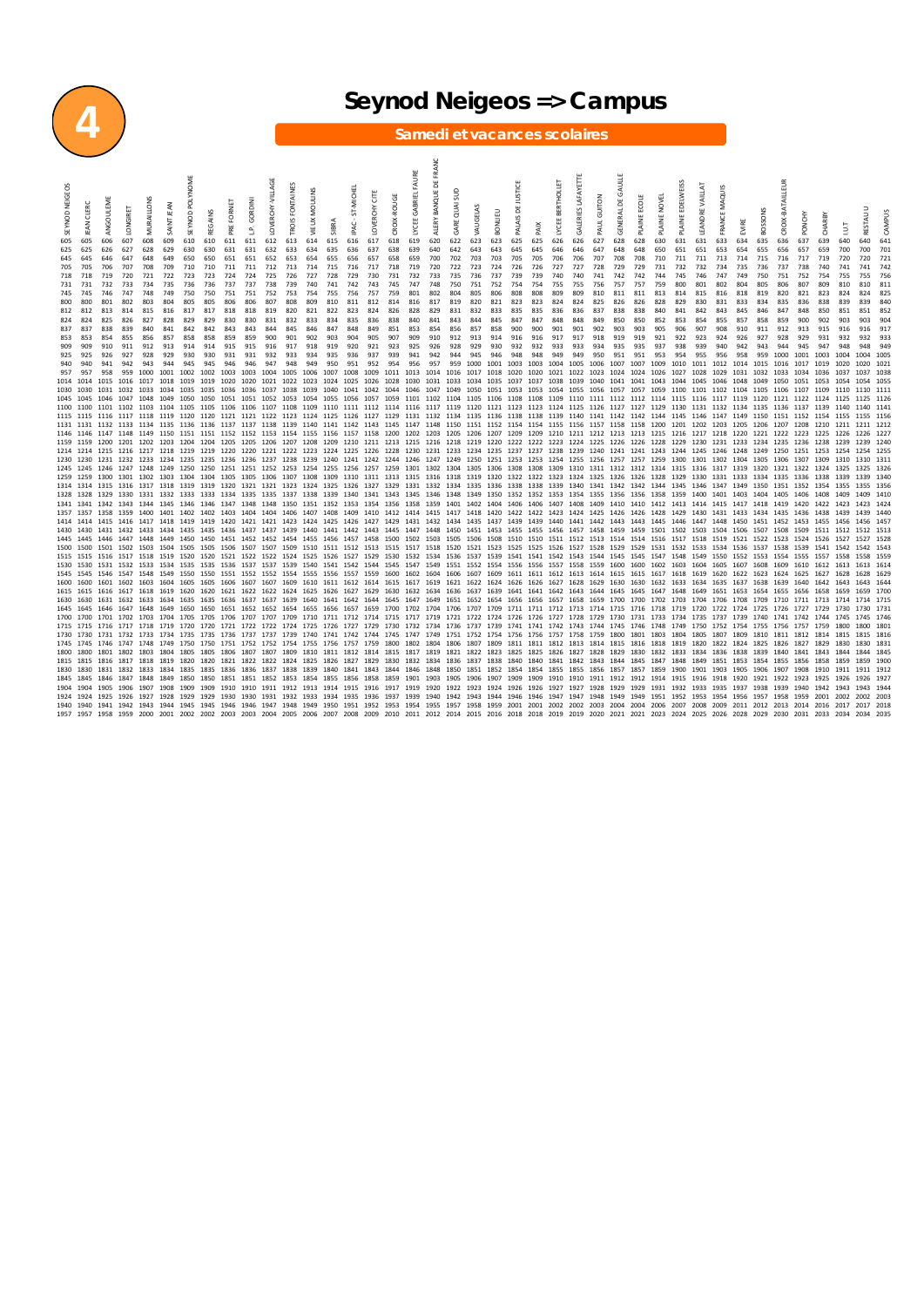

### **4 Seynod Neigeos => Campus**

#### **Samedi et vacances scolaires**

SEYNOD NEIGEOS JEAN CLERC ANGOULEME LONGIRET MURAILLONS SAINT JEAN SEYNOD POLYNOME REGAINS PRE FORNET L.P. GORDINI LOVERCHY‐VILLAGE TROIS FONTAINES VIEUX MOULINS SIBRA IPAC ‐ ST‐MICHEL LOVERCHY CITE CROIX‐ROUGE LYCEE GABRIEL FAURE ALERY BANQUE DE FRANC GARE QUAI SUD VAUGELAS BONLIEU PALAIS DE JUSTICE PAIX LYCEE BERTHOLLET GALERIES LAFAYETTE PAUL GUITON GENERAL DE GAULLE PLAINE ECOLE PLAINE NOVEL PLAINE FDELWEISS LEANDRE VAILLAT FRANCE MAQUIS EVIRE BOSSONS CROIX‐BATAILLEUR PONCHY CHARBY I.U.T RESTAU U CAMPUS 605 605 606 607 608 609 610 610 611 611 612 613 614 615 616 617 618 619 620 622 623 623 625 625 626 626 627 628 628 630 631 631 633 634 635 636 637 639 640 640 641 625 625 626 627 628 629 630 630 631 631 632 633 634 635 636 637 638 639 640 642 643 643 645 645 646 646 647 648 648 650 651 651 653 654 655 656 657 659 700 700 701 645 645 646 647 648 649 650 650 651 651 652 653 654 655 656 657 658 659 700 702 703 703 705 705 706 706 707 708 708 710 711 711 713 714 715 716 717 719 720 720 721 705 705 706 707 708 709 710 710 711 711 712 713 714 715 716 717 718 719 720 722 723 724 726 726 727 727 728 729 729 731 732 732 734 735 736 737 738 740 741 741 742 718 718 719 720 721 722 723 723 724 724 725 726 727 728 729 730 731 732 733 735 736 737 739 739 740 740 741 742 742 744 745 746 747 749 750 751 752 754 755 755 756 731 731 732 733 734 735 736 736 737 737 738 739 740 741 742 743 745 747 748 750 751 752 754 754 755 755 756 757 757 759 800 801 802 804 805 806 807 809 810 810 811 745 745 746 747 748 749 750 750 751 751 752 753 754 755 756 757 759 801 802 804 805 806 808 808 809 809 810 811 811 813 814 815 816 818 819 820 821 823 824 824 825 800 800 801 802 803 804 805 805 806 806 807 808 809 810 811 812 814 816 817 819 820 821 823 823 824 824 825 826 826 828 829 830 831 833 834 835 836 838 839 839 840 812 812 813 814 815 816 817 817 818 818 819 820 821 822 823 824 826 828 829 831 832 833 835 835 836 836 837 838 838 840 841 842 843 845 846 847 848 850 851 851 852 824 824 825 826 827 828 829 829 830 830 831 832 833 834 835 836 838 840 841 843 844 845 847 847 848 848 849 850 850 852 853 854 855 857 858 859 900 902 903 903 904 837 837 838 839 840 841 842 842 843 843 844 845 846 847 848 849 851 853 854 856 857 858 900 900 901 901 902 903 903 905 906 907 908 910 911 912 913 915 916 916 917 853 853 854 855 856 857 858 858 859 859 900 901 902 903 904 905 907 909 910 912 913 914 916 916 917 917 918 919 919 921 922 923 924 926 927 928 929 931 932 932 933 909 909 910 911 912 913 914 914 915 915 916 917 918 919 920 921 923 925 926 928 929 930 932 932 933 933 934 935 935 937 938 939 940 942 943 944 945 947 948 948 949 925 925 926 927 928 929 930 930 931 931 932 933 934 935 936 937 939 941 942 944 945 946 948 948 949 949 950 951 951 953 954 955 956 958 959 1000 1001 1003 1004 1004 1005 940 941 942 943 944 945 945 946 946 947 948 949 950 951 952 954 956 957 959 1000 1001 1003 1003 1003 1005 1007 1007 1007 1007 1010 1011 1012 1014 1015 1016 1017 1019 1020 1020 1021 957 957 958 959 1000 1001 1002 1002 1003 1003 1004 1005 1006 1007 1008 1009 1011 1013 1014 1016 1017 1018 1020 1020 1021 1022 1023 1024 1024 1026 1027 1028 1029 1031 1032 1033 1034 1036 1037 1037 1038 1014 1014 1015 1016 1017 1018 1019 1019 1020 1020 1021 1022 1023 1024 1025 1026 1028 1030 1031 1033 1034 1035 1037 1037 1038 1039 1040 1041 1041 1043 1044 1045 1046 1048 1049 1050 1051 1053 1054 1054 1055 1030 1030 1031 1032 1033 1034 1035 1035 1036 1036 1037 1038 1039 1040 1041 1042 1044 1046 1047 1049 1050 1051 1053 1053 1054 1055 1056 1057 1057 1059 1100 1101 1102 1104 1105 1106 1107 1109 1110 1110 1111 1045 1045 1046 1047 1048 1049 1050 1050 1051 1051 1052 1053 1054 1055 1056 1057 1059 1101 1102 1104 1105 1106 1108 1108 1109 1110 1111 1112 1112 1114 1115 1116 1117 1119 1120 1121 1122 1124 1125 1125 1126 1100 1100 1101 1102 1103 1104 1105 1105 1106 1106 1107 1108 1109 1110 1111 1112 1114 1116 1117 1119 1120 1121 1123 1123 1124 1125 1126 1127 1127 1129 1130 1131 1132 1134 1135 1136 1137 1139 1140 1140 1141 1115 1115 1116 1117 1118 1119 1120 1120 1121 1121 1122 1123 1124 1125 1126 1127 1129 1131 1132 1134 1135 1136 1138 1138 1139 1140 1141 1142 1142 1144 1145 1146 1147 1149 1150 1151 1152 1154 1155 1155 1156 1131 1131 1132 1133 1134 1135 1136 1136 1137 1137 1138 1139 1140 1141 1142 1143 1145 1147 1148 1150 1151 1152 1154 1154 1155 1156 1157 1158 1158 1200 1201 1202 1203 1205 1206 1207 1208 1210 1211 1211 1212 1146 1146 1147 1148 1149 1150 1151 1151 1152 1152 1153 1154 1155 1156 1157 1158 1200 1202 1203 1205 1206 1207 1209 1209 1210 1211 1212 1213 1213 1215 1216 1217 1218 1220 1221 1222 1223 1225 1226 1226 1227 1159 1159 1200 1201 1202 1203 1204 1204 1205 1205 1206 1207 1208 1209 1210 1211 1213 1215 1216 1218 1219 1220 1222 1222 1223 1224 1225 1226 1226 1228 1229 1230 1231 1233 1234 1235 1236 1238 1239 1239 1240 1214 1214 1215 1216 1217 1218 1219 1219 1220 1220 1221 1222 1223 1224 1225 1226 1228 1230 1231 1233 1234 1235 1237 1237 1238 1239 1240 1241 1241 1243 1244 1245 1246 1248 1249 1250 1251 1253 1254 1254 1255 1230 1230 1231 1232 1233 1234 1235 1235 1236 1236 1237 1238 1239 1240 1241 1242 1244 1246 1247 1249 1250 1251 1253 1253 1254 1255 1256 1257 1257 1259 1300 1301 1302 1304 1305 1306 1307 1309 1310 1310 1311 1245 1245 1246 1247 1248 1249 1250 1250 1251 1251 1252 1253 1254 1255 1256 1257 1259 1301 1302 1304 1305 1306 1308 1308 1309 1310 1311 1312 1312 1314 1315 1316 1317 1319 1320 1321 1322 1324 1325 1325 1326 1259 1259 1300 1301 1302 1303 1304 1304 1305 1305 1306 1307 1308 1309 1310 1311 1313 1315 1316 1318 1319 1320 1322 1322 1323 1324 1325 1326 1326 1328 1329 1330 1331 1333 1334 1335 1336 1338 1339 1339 1340 1314 1314 1315 1316 1317 1318 1319 1319 1320 1321 1321 1323 1324 1325 1326 1327 1329 1331 1332 1334 1335 1336 1338 1338 1339 1340 1341 1342 1342 1344 1345 1346 1347 1349 1350 1351 1352 1354 1355 1355 1356 1328 1328 1329 1330 1331 1332 1333 1333 1334 1335 1335 1337 1338 1339 1340 1341 1343 1345 1346 1348 1349 1350 1352 1352 1353 1354 1355 1356 1356 1358 1359 1400 1401 1403 1404 1405 1406 1408 1409 1409 1410 1341 1341 1342 1343 1344 1345 1346 1346 1347 1348 1348 1350 1351 1352 1353 1354 1356 1358 1359 1401 1402 1404 1406 1406 1407 1408 1409 1410 1410 1412 1413 1414 1415 1417 1418 1419 1420 1422 1423 1423 1424 1357 1357 1358 1359 1400 1401 1402 1402 1403 1404 1404 1406 1407 1408 1409 1410 1412 1414 1415 1417 1418 1420 1422 1422 1423 1424 1425 1426 1426 1428 1429 1430 1431 1433 1434 1435 1436 1438 1439 1439 1440 1414 1414 1415 1416 1417 1418 1419 1419 1420 1421 1421 1423 1424 1425 1426 1427 1429 1431 1432 1434 1435 1437 1439 1439 1440 1441 1442 1443 1443 1445 1446 1447 1448 1450 1451 1452 1453 1455 1456 1456 1457 1430 1430 1431 1432 1433 1434 1435 1435 1436 1437 1437 1439 1440 1441 1442 1443 1445 1447 1448 1450 1451 1453 1455 1455 1456 1457 1458 1459 1459 1501 1502 1503 1504 1506 1507 1508 1509 1511 1512 1512 1513 1445 1445 1446 1447 1448 1449 1450 1450 1451 1452 1452 1454 1455 1456 1457 1458 1500 1502 1503 1505 1506 1508 1510 1510 1511 1512 1513 1514 1514 1516 1517 1518 1519 1521 1522 1523 1524 1526 1527 1527 1528 1500 1500 1501 1502 1503 1504 1505 1505 1506 1507 1507 1509 1510 1511 1512 1513 1515 1517 1518 1520 1521 1523 1525 1525 1526 1527 1528 1529 1529 1531 1532 1533 1534 1536 1537 1538 1539 1541 1542 1542 1543 1515 1515 1516 1517 1518 1519 1520 1520 1521 1522 1522 1524 1525 1526 1527 1529 1530 1532 1534 1536 1537 1539 1541 1541 1542 1543 1544 1545 1545 1547 1548 1549 1550 1552 1553 1554 1555 1557 1558 1558 1559 1530 1530 1531 1532 1533 1534 1535 1535 1536 1537 1537 1539 1540 1541 1542 1544 1545 1547 1549 1551 1552 1554 1556 1556 1557 1558 1559 1600 1600 1602 1603 1604 1605 1607 1608 1609 1610 1612 1613 1613 1614 1545 1545 1546 1547 1548 1549 1550 1550 1551 1552 1552 1554 1555 1556 1557 1559 1600 1602 1604 1606 1607 1609 1611 1611 1612 1613 1614 1615 1615 1617 1618 1619 1620 1622 1623 1624 1625 1627 1628 1628 1629 1600 1600 1601 1602 1603 1604 1605 1605 1605 1607 1609 1610 1611 1612 1614 1615 1617 1619 1621 1622 1624 1626 1626 1626 1629 1630 1630 1630 1630 1634 1635 1637 1638 1639 1640 1642 1643 1644 1645 1640 1642 1643 1644 1643 164 1615 1615 1616 1617 1618 1619 1620 1620 1621 1622 1622 1624 1625 1626 1627 1629 1630 1632 1634 1636 1637 1639 1641 1641 1642 1643 1644 1645 1645 1647 1648 1649 1651 1653 1654 1655 1656 1658 1659 1659 1700 1630 1630 1631 1632 1633 1634 1635 1635 1636 1637 1637 1639 1640 1641 1642 1644 1645 1647 1649 1651 1652 1654 1656 1656 1657 1658 1659 1700 1700 1702 1703 1704 1706 1708 1709 1710 1711 1713 1714 1714 1715 1645 1645 1646 1647 1648 1649 1650 1650 1651 1652 1652 1654 1655 1656 1657 1659 1700 1702 1704 1706 1707 1709 1711 1711 1712 1713 1714 1715 1716 1718 1719 1720 1722 1724 1725 1726 1727 1729 1730 1730 1731 1700 1700 1701 1702 1703 1704 1705 1705 1706 1707 1707 1709 1710 1711 1712 1714 1715 1717 1719 1721 1722 1724 1726 1726 1727 1728 1729 1730 1731 1733 1734 1735 1737 1739 1740 1741 1742 1744 1745 1745 1746 1715 1715 1716 1717 1718 1719 1720 1720 1721 1722 1722 1724 1725 1726 1727 1729 1730 1732 1734 1736 1737 1739 1741 1741 1742 1743 1744 1745 1746 1748 1749 1750 1752 1754 1755 1756 1757 1759 1800 1800 1801 1730 1730 1731 1732 1733 1734 1735 1735 1736 1737 1737 1739 1740 1741 1742 1744 1745 1747 1749 1751 1752 1754 1756 1756 1757 1758 1759 1800 1801 1803 1804 1805 1807 1809 1810 1811 1812 1814 1815 1815 1816 1745 1745 1746 1747 1748 1749 1750 1750 1751 1752 1752 1754 1755 1756 1757 1759 1800 1802 1804 1806 1807 1809 1811 1811 1812 1813 1814 1815 1816 1818 1819 1820 1822 1824 1825 1826 1827 1829 1830 1830 1831 1800 1800 1801 1802 1803 1804 1805 1805 1806 1807 1807 1809 1810 1811 1812 1814 1815 1817 1819 1821 1822 1823 1825 1825 1826 1827 1828 1829 1830 1832 1833 1834 1836 1838 1839 1840 1841 1843 1844 1844 1845 1815 1815 1816 1817 1818 1819 1820 1820 1821 1822 1822 1824 1825 1826 1827 1829 1830 1832 1834 1836 1837 1838 1840 1840 1841 1842 1843 1844 1845 1847 1848 1849 1851 1853 1854 1855 1856 1858 1859 1859 1900 1830 1830 1831 1832 1833 1834 1835 1835 1836 1836 1837 1838 1839 1840 1841 1843 1844 1846 1848 1850 1851 1852 1854 1854 1855 1855 1856 1857 1857 1859 1900 1901 1903 1905 1906 1907 1908 1910 1911 1911 1912 1845 1845 1846 1847 1848 1849 1850 1850 1851 1851 1852 1853 1854 1855 1856 1858 1859 1901 1903 1905 1906 1907 1909 1909 1910 1910 1911 1912 1912 1914 1915 1916 1918 1920 1921 1922 1923 1925 1926 1926 1927 1904 1904 1905 1906 1907 1908 1909 1909 1910 1910 1911 1912 1913 1914 1915 1916 1917 1919 1920 1922 1923 1924 1926 1926 1927 1927 1928 1929 1929 1931 1932 1933 1935 1937 1938 1939 1940 1942 1943 1943 1944 1924 1924 1925 1926 1927 1928 1929 1929 1930 1930 1931 1932 1933 1934 1935 1936 1937 1939 1940 1942 1943 1944 1946 1946 1947 1947 1948 1949 1949 1951 1952 1953 1954 1956 1957 1958 1959 2001 2002 2002 2003 1940 1940 1941 1942 1943 1944 1945 1945 1946 1946 1947 1948 1949 1950 1951 1952 1953 1954 1955 1957 1958 1959 2001 2001 2002 2002 2003 2004 2004 2006 2007 2008 2009 2011 2012 2013 2014 2016 2017 2017 2018 1957 1957 1958 1959 2000 2001 2002 2002 2003 2003 2004 2005 2006 2007 2008 2009 2010 2011 2012 2014 2015 2016 2018 2018 2019 2019 2020 2021 2021 2023 2024 2025 2026 2028 2029 2030 2031 2033 2034 2034 2035